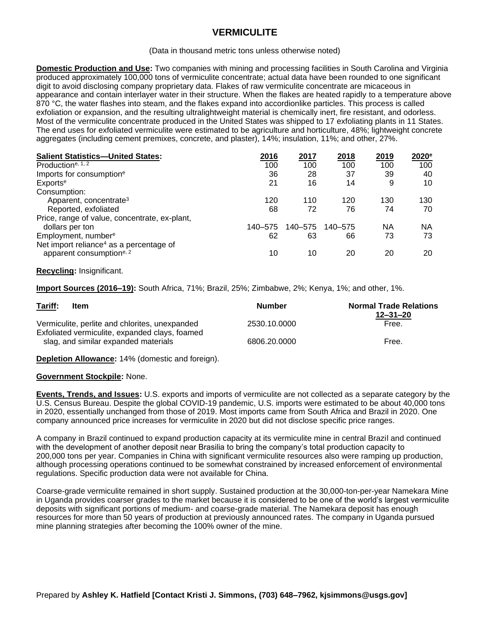# **VERMICULITE**

#### (Data in thousand metric tons unless otherwise noted)

**Domestic Production and Use:** Two companies with mining and processing facilities in South Carolina and Virginia produced approximately 100,000 tons of vermiculite concentrate; actual data have been rounded to one significant digit to avoid disclosing company proprietary data. Flakes of raw vermiculite concentrate are micaceous in appearance and contain interlayer water in their structure. When the flakes are heated rapidly to a temperature above 870 °C, the water flashes into steam, and the flakes expand into accordionlike particles. This process is called exfoliation or expansion, and the resulting ultralightweight material is chemically inert, fire resistant, and odorless. Most of the vermiculite concentrate produced in the United States was shipped to 17 exfoliating plants in 11 States. The end uses for exfoliated vermiculite were estimated to be agriculture and horticulture, 48%; lightweight concrete aggregates (including cement premixes, concrete, and plaster), 14%; insulation, 11%; and other, 27%.

| <b>Salient Statistics-United States:</b>                                                    | 2016    | 2017    | 2018    | 2019 | 2020 <sup>e</sup> |
|---------------------------------------------------------------------------------------------|---------|---------|---------|------|-------------------|
| Production <sup>e, 1, 2</sup>                                                               | 100     | 100     | 100     | 100  | 100               |
| Imports for consumption <sup>e</sup>                                                        | 36      | 28      | 37      | 39   | 40                |
| Exports <sup>e</sup>                                                                        | 21      | 16      | 14      | 9    | 10                |
| Consumption:                                                                                |         |         |         |      |                   |
| Apparent, concentrate <sup>3</sup>                                                          | 120     | 110     | 120     | 130  | 130               |
| Reported, exfoliated                                                                        | 68      | 72      | 76      | 74   | 70                |
| Price, range of value, concentrate, ex-plant,                                               |         |         |         |      |                   |
| dollars per ton                                                                             | 140–575 | 140–575 | 140–575 | ΝA   | NA                |
| Employment, number <sup>e</sup>                                                             | 62      | 63      | 66      | 73   | 73                |
| Net import reliance <sup>4</sup> as a percentage of<br>apparent consumption <sup>e, 2</sup> | 10      | 10      | 20      | 20   | 20                |
|                                                                                             |         |         |         |      |                   |

## **Recycling:** Insignificant.

**Import Sources (2016–19):** South Africa, 71%; Brazil, 25%; Zimbabwe, 2%; Kenya, 1%; and other, 1%.

| Tariff:<br>Item                                                                                  | <b>Number</b> | <b>Normal Trade Relations</b><br>$12 - 31 - 20$ |  |
|--------------------------------------------------------------------------------------------------|---------------|-------------------------------------------------|--|
| Vermiculite, perlite and chlorites, unexpanded<br>Exfoliated vermiculite, expanded clays, foamed | 2530.10.0000  | Free.                                           |  |
| slag, and similar expanded materials                                                             | 6806.20.0000  | Free.                                           |  |

**Depletion Allowance:** 14% (domestic and foreign).

## **Government Stockpile:** None.

**Events, Trends, and Issues:** U.S. exports and imports of vermiculite are not collected as a separate category by the U.S. Census Bureau. Despite the global COVID-19 pandemic, U.S. imports were estimated to be about 40,000 tons in 2020, essentially unchanged from those of 2019. Most imports came from South Africa and Brazil in 2020. One company announced price increases for vermiculite in 2020 but did not disclose specific price ranges.

A company in Brazil continued to expand production capacity at its vermiculite mine in central Brazil and continued with the development of another deposit near Brasilia to bring the company's total production capacity to 200,000 tons per year. Companies in China with significant vermiculite resources also were ramping up production, although processing operations continued to be somewhat constrained by increased enforcement of environmental regulations. Specific production data were not available for China.

Coarse-grade vermiculite remained in short supply. Sustained production at the 30,000-ton-per-year Namekara Mine in Uganda provides coarser grades to the market because it is considered to be one of the world's largest vermiculite deposits with significant portions of medium- and coarse-grade material. The Namekara deposit has enough resources for more than 50 years of production at previously announced rates. The company in Uganda pursued mine planning strategies after becoming the 100% owner of the mine.